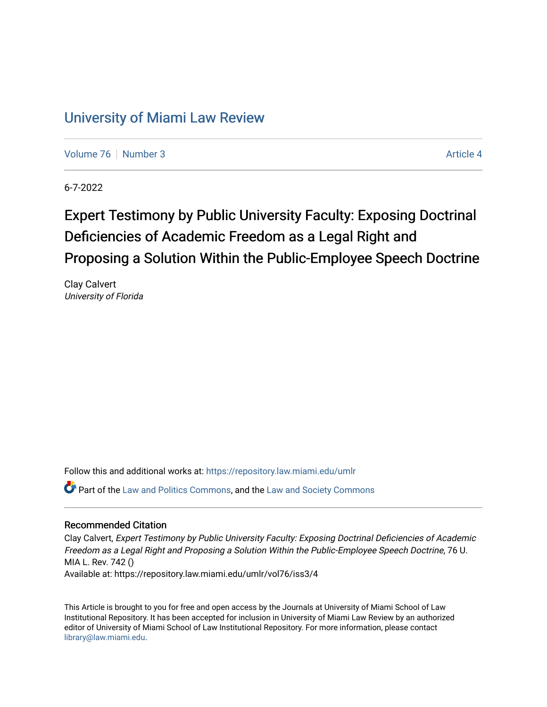## [University of Miami Law Review](https://repository.law.miami.edu/umlr)

[Volume 76](https://repository.law.miami.edu/umlr/vol76) [Number 3](https://repository.law.miami.edu/umlr/vol76/iss3) Article 4

6-7-2022

# Expert Testimony by Public University Faculty: Exposing Doctrinal Deficiencies of Academic Freedom as a Legal Right and Proposing a Solution Within the Public-Employee Speech Doctrine

Clay Calvert University of Florida

Follow this and additional works at: [https://repository.law.miami.edu/umlr](https://repository.law.miami.edu/umlr?utm_source=repository.law.miami.edu%2Fumlr%2Fvol76%2Fiss3%2F4&utm_medium=PDF&utm_campaign=PDFCoverPages)

**P** Part of the [Law and Politics Commons,](https://network.bepress.com/hgg/discipline/867?utm_source=repository.law.miami.edu%2Fumlr%2Fvol76%2Fiss3%2F4&utm_medium=PDF&utm_campaign=PDFCoverPages) and the Law and Society Commons

#### Recommended Citation

Clay Calvert, Expert Testimony by Public University Faculty: Exposing Doctrinal Deficiencies of Academic Freedom as a Legal Right and Proposing a Solution Within the Public-Employee Speech Doctrine, 76 U. MIA L. Rev. 742 () Available at: https://repository.law.miami.edu/umlr/vol76/iss3/4

This Article is brought to you for free and open access by the Journals at University of Miami School of Law Institutional Repository. It has been accepted for inclusion in University of Miami Law Review by an authorized editor of University of Miami School of Law Institutional Repository. For more information, please contact [library@law.miami.edu.](mailto:library@law.miami.edu)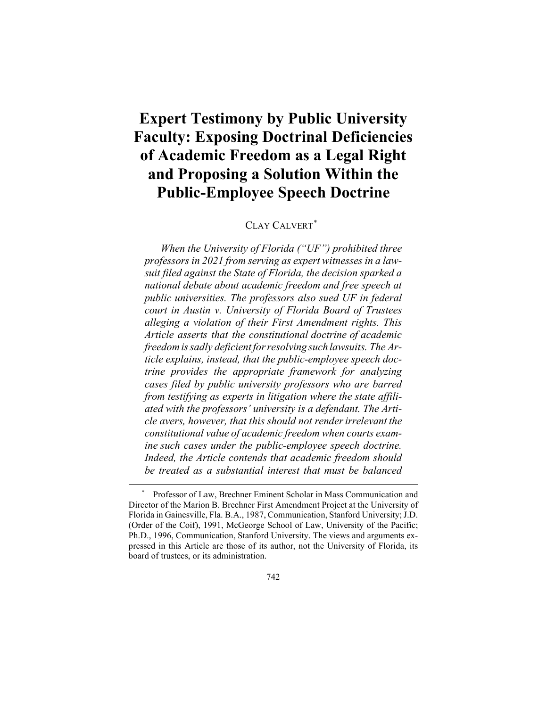## **Expert Testimony by Public University Faculty: Exposing Doctrinal Deficiencies of Academic Freedom as a Legal Right and Proposing a Solution Within the Public-Employee Speech Doctrine**

### CLAY CALVERT[\\*](#page-1-0)

*When the University of Florida ("UF") prohibited three professors in 2021 from serving as expert witnesses in a lawsuit filed against the State of Florida, the decision sparked a national debate about academic freedom and free speech at public universities. The professors also sued UF in federal court in Austin v. University of Florida Board of Trustees alleging a violation of their First Amendment rights. This Article asserts that the constitutional doctrine of academic freedomissadly deficient forresolving such lawsuits. The Article explains, instead, that the public-employee speech doctrine provides the appropriate framework for analyzing cases filed by public university professors who are barred from testifying as experts in litigation where the state affiliated with the professors' university is a defendant. The Article avers, however, that this should not renderirrelevant the constitutional value of academic freedom when courts examine such cases under the public-employee speech doctrine. Indeed, the Article contends that academic freedom should be treated as a substantial interest that must be balanced*

<span id="page-1-0"></span>Professor of Law, Brechner Eminent Scholar in Mass Communication and Director of the Marion B. Brechner First Amendment Project at the University of Florida in Gainesville, Fla. B.A., 1987, Communication, Stanford University; J.D. (Order of the Coif), 1991, McGeorge School of Law, University of the Pacific; Ph.D., 1996, Communication, Stanford University. The views and arguments expressed in this Article are those of its author, not the University of Florida, its board of trustees, or its administration.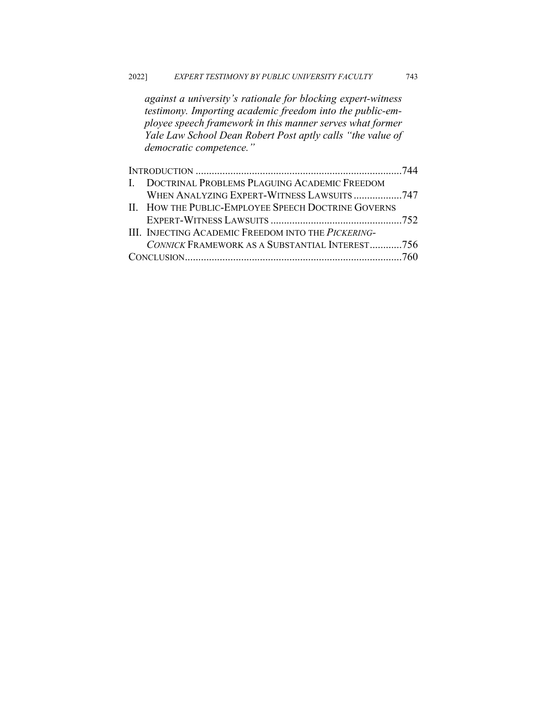*against a university's rationale for blocking expert-witness testimony. Importing academic freedom into the public-employee speech framework in this manner serves what former Yale Law School Dean Robert Post aptly calls "the value of democratic competence."*

| I. DOCTRINAL PROBLEMS PLAGUING ACADEMIC FREEDOM             |  |
|-------------------------------------------------------------|--|
| WHEN ANALYZING EXPERT-WITNESS LAWSUITS747                   |  |
| II. HOW THE PUBLIC-EMPLOYEE SPEECH DOCTRINE GOVERNS         |  |
|                                                             |  |
| III. INJECTING ACADEMIC FREEDOM INTO THE <i>PICKERING</i> - |  |
| CONNICK FRAMEWORK AS A SUBSTANTIAL INTEREST756              |  |
|                                                             |  |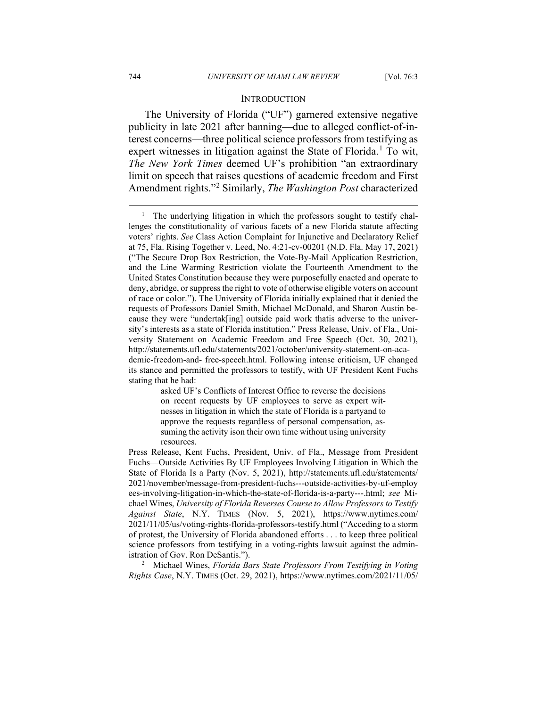#### **INTRODUCTION**

The University of Florida ("UF") garnered extensive negative publicity in late 2021 after banning—due to alleged conflict-of-interest concerns—three political science professors from testifying as expert witnesses in litigation against the State of Florida.<sup>[1](#page-3-0)</sup> To wit, *The New York Times* deemed UF's prohibition "an extraordinary limit on speech that raises questions of academic freedom and First Amendment rights."[2](#page-3-1) Similarly, *The Washington Post* characterized

asked UF's Conflicts of Interest Office to reverse the decisions on recent requests by UF employees to serve as expert witnesses in litigation in which the state of Florida is a partyand to approve the requests regardless of personal compensation, assuming the activity ison their own time without using university resources.

<span id="page-3-0"></span><sup>&</sup>lt;sup>1</sup> The underlying litigation in which the professors sought to testify challenges the constitutionality of various facets of a new Florida statute affecting voters' rights. *See* Class Action Complaint for Injunctive and Declaratory Relief at 75, Fla. Rising Together v. Leed, No. 4:21-cv-00201 (N.D. Fla. May 17, 2021) ("The Secure Drop Box Restriction, the Vote-By-Mail Application Restriction, and the Line Warming Restriction violate the Fourteenth Amendment to the United States Constitution because they were purposefully enacted and operate to deny, abridge, or suppress the right to vote of otherwise eligible voters on account of race or color."). The University of Florida initially explained that it denied the requests of Professors Daniel Smith, Michael McDonald, and Sharon Austin because they were "undertak[ing] outside paid work thatis adverse to the university's interests as a state of Florida institution." Press Release, Univ. of Fla., University Statement on Academic Freedom and Free Speech (Oct. 30, 2021), http://statements.ufl.edu/statements/2021/october/university-statement-on-academic-freedom-and- free-speech.html. Following intense criticism, UF changed its stance and permitted the professors to testify, with UF President Kent Fuchs stating that he had:

Press Release, Kent Fuchs, President, Univ. of Fla., Message from President Fuchs—Outside Activities By UF Employees Involving Litigation in Which the State of Florida Is a Party (Nov. 5, 2021), http://statements.ufl.edu/statements/ 2021/november/message-from-president-fuchs---outside-activities-by-uf-employ ees-involving-litigation-in-which-the-state-of-florida-is-a-party---.html; *see* Michael Wines, *University of Florida Reverses Course to Allow Professors to Testify Against State*, N.Y. TIMES (Nov. 5, 2021), https://www.nytimes.com/ 2021/11/05/us/voting-rights-florida-professors-testify.html ("Acceding to a storm of protest, the University of Florida abandoned efforts . . . to keep three political science professors from testifying in a voting-rights lawsuit against the administration of Gov. Ron DeSantis.").

<span id="page-3-1"></span><sup>2</sup> Michael Wines, *Florida Bars State Professors From Testifying in Voting Rights Case*, N.Y. TIMES (Oct. 29, 2021), https://www.nytimes.com/2021/11/05/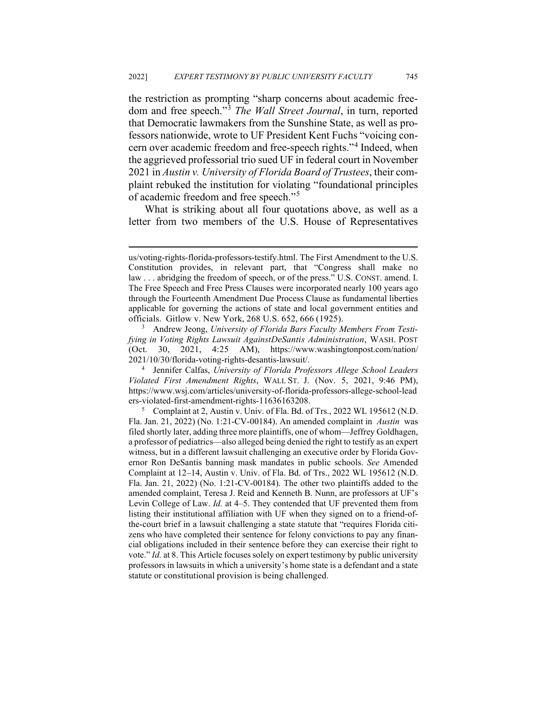the restriction as prompting "sharp concerns about academic freedom and free speech."[3](#page-4-0) *The Wall Street Journal*, in turn, reported that Democratic lawmakers from the Sunshine State, as well as professors nationwide, wrote to UF President Kent Fuchs "voicing concern over academic freedom and free-speech rights."[4](#page-4-1) Indeed, when the aggrieved professorial trio sued UF in federal court in November 2021 in *Austin v. University of Florida Board of Trustees*, their complaint rebuked the institution for violating "foundational principles of academic freedom and free speech."[5](#page-4-2)

What is striking about all four quotations above, as well as a letter from two members of the U.S. House of Representatives

us/voting-rights-florida-professors-testify.html. The First Amendment to the U.S. Constitution provides, in relevant part, that "Congress shall make no law . . . abridging the freedom of speech, or of the press." U.S. CONST. amend. I. The Free Speech and Free Press Clauses were incorporated nearly 100 years ago through the Fourteenth Amendment Due Process Clause as fundamental liberties applicable for governing the actions of state and local government entities and officials. Gitlow v. New York, 268 U.S. 652, 666 (1925).

<span id="page-4-0"></span><sup>3</sup> Andrew Jeong, *University of Florida Bars Faculty Members From Testifying in Voting Rights Lawsuit AgainstDeSantis Administration*, WASH. POST (Oct. 30, 2021, 4:25 AM), https://www.washingtonpost.com/nation/ 2021/10/30/florida-voting-rights-desantis-lawsuit/.

<span id="page-4-1"></span><sup>4</sup> Jennifer Calfas, *University of Florida Professors Allege School Leaders Violated First Amendment Rights*, WALL ST. J. (Nov. 5, 2021, 9:46 PM), https[://ww](http://www.wsj.com/articles/university-of-florida-professors-allege-school-)w.wsj.com/articles/university-of-florida-professors-allege-school-lead ers-violated-first-amendment-rights-11636163208.

<span id="page-4-2"></span><sup>&</sup>lt;sup>5</sup> Complaint at 2, Austin v. Univ. of Fla. Bd. of Trs., 2022 WL 195612 (N.D. Fla. Jan. 21, 2022) (No. 1:21-CV-00184). An amended complaint in *Austin* was filed shortly later, adding three more plaintiffs, one of whom—Jeffrey Goldhagen, a professor of pediatrics—also alleged being denied the right to testify as an expert witness, but in a different lawsuit challenging an executive order by Florida Governor Ron DeSantis banning mask mandates in public schools. *See* Amended Complaint at 12–14, Austin v. Univ. of Fla. Bd. of Trs., 2022 WL 195612 (N.D. Fla. Jan. 21, 2022) (No. 1:21-CV-00184). The other two plaintiffs added to the amended complaint, Teresa J. Reid and Kenneth B. Nunn, are professors at UF's Levin College of Law. *Id.* at 4–5. They contended that UF prevented them from listing their institutional affiliation with UF when they signed on to a friend-ofthe-court brief in a lawsuit challenging a state statute that "requires Florida citizens who have completed their sentence for felony convictions to pay any financial obligations included in their sentence before they can exercise their right to vote." *Id.* at 8. This Article focuses solely on expert testimony by public university professors in lawsuits in which a university's home state is a defendant and a state statute or constitutional provision is being challenged.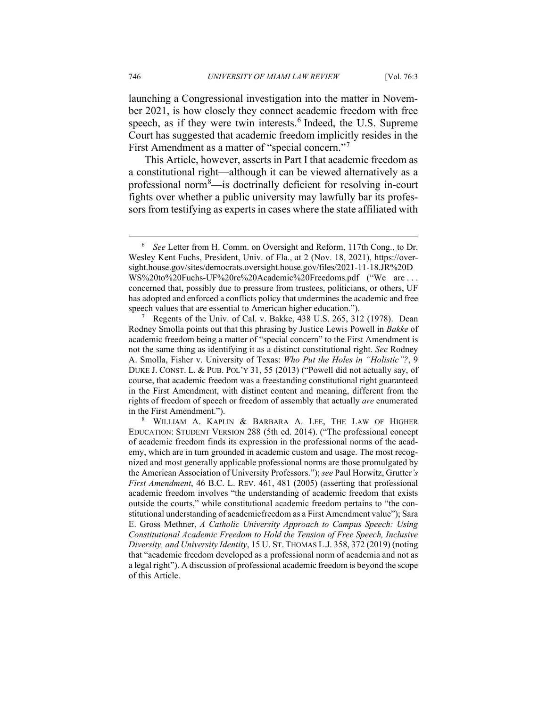launching a Congressional investigation into the matter in November 2021, is how closely they connect academic freedom with free speech, as if they were twin interests.<sup>[6](#page-5-0)</sup> Indeed, the U.S. Supreme Court has suggested that academic freedom implicitly resides in the First Amendment as a matter of "special concern."<sup>[7](#page-5-1)</sup>

This Article, however, asserts in Part I that academic freedom as a constitutional right—although it can be viewed alternatively as a professional norm[8](#page-5-2) —is doctrinally deficient for resolving in-court fights over whether a public university may lawfully bar its professors from testifying as experts in cases where the state affiliated with

<span id="page-5-0"></span><sup>6</sup> *See* Letter from H. Comm. on Oversight and Reform, 117th Cong., to Dr. Wesley Kent Fuchs, President, Univ. of Fla., at 2 (Nov. 18, 2021), https://oversight.house.gov/sites/democrats.oversight.house.gov/files/2021-11-18.JR%20D WS%20to%20Fuchs-UF%20re%20Academic%20Freedoms.pdf ("We are . . . concerned that, possibly due to pressure from trustees, politicians, or others, UF has adopted and enforced a conflicts policy that undermines the academic and free speech values that are essential to American higher education.").

<span id="page-5-1"></span><sup>7</sup> Regents of the Univ. of Cal. v. Bakke, 438 U.S. 265, 312 (1978). Dean Rodney Smolla points out that this phrasing by Justice Lewis Powell in *Bakke* of academic freedom being a matter of "special concern" to the First Amendment is not the same thing as identifying it as a distinct constitutional right. *See* Rodney A. Smolla, Fisher v. University of Texas: *Who Put the Holes in "Holistic"?*, 9 DUKE J. CONST. L. & PUB. POL'Y 31, 55 (2013) ("Powell did not actually say, of course, that academic freedom was a freestanding constitutional right guaranteed in the First Amendment, with distinct content and meaning, different from the rights of freedom of speech or freedom of assembly that actually *are* enumerated in the First Amendment.").

<span id="page-5-2"></span><sup>8</sup> WILLIAM A. KAPLIN & BARBARA A. LEE, THE LAW OF HIGHER EDUCATION: STUDENT VERSION 288 (5th ed. 2014). ("The professional concept of academic freedom finds its expression in the professional norms of the academy, which are in turn grounded in academic custom and usage. The most recognized and most generally applicable professional norms are those promulgated by the American Association of University Professors."); *see* Paul Horwitz, Grutter*'s First Amendment*, 46 B.C. L. REV. 461, 481 (2005) (asserting that professional academic freedom involves "the understanding of academic freedom that exists outside the courts," while constitutional academic freedom pertains to "the constitutional understanding of academicfreedom as a First Amendment value"); Sara E. Gross Methner, *A Catholic University Approach to Campus Speech: Using Constitutional Academic Freedom to Hold the Tension of Free Speech, Inclusive Diversity, and University Identity*, 15 U. ST. THOMAS L.J. 358, 372 (2019) (noting that "academic freedom developed as a professional norm of academia and not as a legal right"). A discussion of professional academic freedom is beyond the scope of this Article.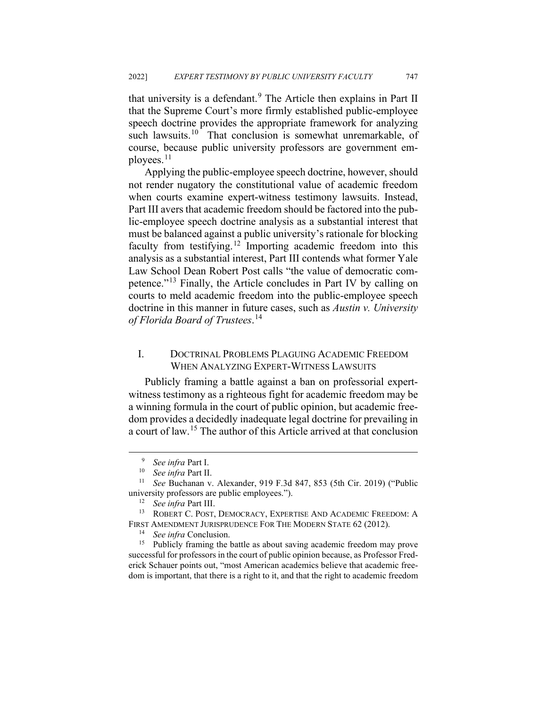that university is a defendant.<sup>[9](#page-6-0)</sup> The Article then explains in Part II that the Supreme Court's more firmly established public-employee speech doctrine provides the appropriate framework for analyzing such lawsuits.<sup>[10](#page-6-1)</sup> That conclusion is somewhat unremarkable, of course, because public university professors are government em-ployees.<sup>[11](#page-6-2)</sup>

Applying the public-employee speech doctrine, however, should not render nugatory the constitutional value of academic freedom when courts examine expert-witness testimony lawsuits. Instead, Part III avers that academic freedom should be factored into the public-employee speech doctrine analysis as a substantial interest that must be balanced against a public university's rationale for blocking faculty from testifying.<sup>[12](#page-6-3)</sup> Importing academic freedom into this analysis as a substantial interest, Part III contends what former Yale Law School Dean Robert Post calls "the value of democratic competence."[13](#page-6-4) Finally, the Article concludes in Part IV by calling on courts to meld academic freedom into the public-employee speech doctrine in this manner in future cases, such as *Austin v. University of Florida Board of Trustees*. [14](#page-6-5)

#### I. DOCTRINAL PROBLEMS PLAGUING ACADEMIC FREEDOM WHEN ANALYZING EXPERT-WITNESS LAWSUITS

Publicly framing a battle against a ban on professorial expertwitness testimony as a righteous fight for academic freedom may be a winning formula in the court of public opinion, but academic freedom provides a decidedly inadequate legal doctrine for prevailing in a court of law.[15](#page-6-6) The author of this Article arrived at that conclusion

<sup>9</sup> *See infra* Part I.

<sup>10</sup> *See infra* Part II.

<span id="page-6-2"></span><span id="page-6-1"></span><span id="page-6-0"></span><sup>11</sup> *See* Buchanan v. Alexander, 919 F.3d 847, 853 (5th Cir. 2019) ("Public university professors are public employees.").

<sup>12</sup> *See infra* Part III.

<span id="page-6-4"></span><span id="page-6-3"></span><sup>13</sup> ROBERT C. POST, DEMOCRACY, EXPERTISE AND ACADEMIC FREEDOM: A FIRST AMENDMENT JURISPRUDENCE FOR THE MODERN STATE 62 (2012).

<sup>&</sup>lt;sup>14</sup> *See infra* Conclusion.<br><sup>15</sup> Publicly framing the

<span id="page-6-6"></span><span id="page-6-5"></span>Publicly framing the battle as about saving academic freedom may prove successful for professors in the court of public opinion because, as Professor Frederick Schauer points out, "most American academics believe that academic freedom is important, that there is a right to it, and that the right to academic freedom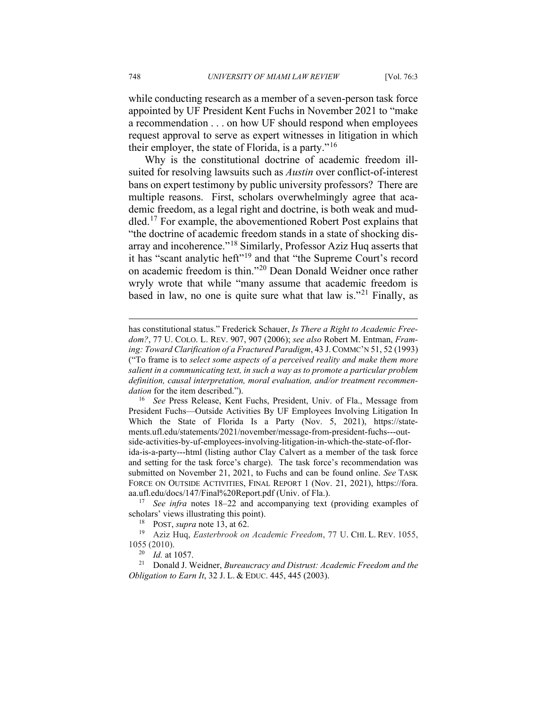while conducting research as a member of a seven-person task force appointed by UF President Kent Fuchs in November 2021 to "make a recommendation . . . on how UF should respond when employees request approval to serve as expert witnesses in litigation in which their employer, the state of Florida, is a party."<sup>[16](#page-7-0)</sup>

Why is the constitutional doctrine of academic freedom illsuited for resolving lawsuits such as *Austin* over conflict-of-interest bans on expert testimony by public university professors? There are multiple reasons. First, scholars overwhelmingly agree that academic freedom, as a legal right and doctrine, is both weak and muddled.[17](#page-7-1) For example, the abovementioned Robert Post explains that "the doctrine of academic freedom stands in a state of shocking dis-array and incoherence."<sup>[18](#page-7-2)</sup> Similarly, Professor Aziz Huq asserts that it has "scant analytic heft"<sup>[19](#page-7-3)</sup> and that "the Supreme Court's record on academic freedom is thin."[20](#page-7-4) Dean Donald Weidner once rather wryly wrote that while "many assume that academic freedom is based in law, no one is quite sure what that law is."<sup>[21](#page-7-5)</sup> Finally, as

<span id="page-7-0"></span><sup>16</sup> *See* Press Release, Kent Fuchs, President, Univ. of Fla., Message from President Fuchs—Outside Activities By UF Employees Involving Litigation In Which the State of Florida Is a Party (Nov. 5, 2021), https://statements.ufl.edu/statements/2021/november/message-from-president-fuchs---outside-activities-by-uf-employees-involving-litigation-in-which-the-state-of-florida-is-a-party---html (listing author Clay Calvert as a member of the task force and setting for the task force's charge). The task force's recommendation was submitted on November 21, 2021, to Fuchs and can be found online. *See* TASK FORCE ON OUTSIDE ACTIVITIES, FINAL REPORT 1 (Nov. 21, 2021), https://fora. aa.ufl.edu/docs/147/Final%20Report.pdf (Univ. of Fla.).

has constitutional status." Frederick Schauer, *Is There a Right to Academic Freedom?*, 77 U. COLO. L. REV. 907, 907 (2006); *see also* Robert M. Entman, *Framing: Toward Clarification of a Fractured Paradigm*, 43 J.COMMC'N 51, 52 (1993) ("To frame is to *select some aspects of a perceived reality and make them more salient in a communicating text, in such a way as to promote a particular problem definition, causal interpretation, moral evaluation, and/or treatment recommendation* for the item described.").

<span id="page-7-1"></span><sup>17</sup> *See infra* notes 18–22 and accompanying text (providing examples of scholars' views illustrating this point).

<sup>18</sup> POST, *supra* note 13, at 62.

<span id="page-7-3"></span><span id="page-7-2"></span><sup>19</sup> Aziz Huq, *Easterbrook on Academic Freedom*, 77 U. CHI. L. REV. 1055, 1055 (2010).

<sup>20</sup> *Id.* at 1057.

<span id="page-7-5"></span><span id="page-7-4"></span><sup>21</sup> Donald J. Weidner, *Bureaucracy and Distrust: Academic Freedom and the Obligation to Earn It*, 32 J. L. & EDUC. 445, 445 (2003).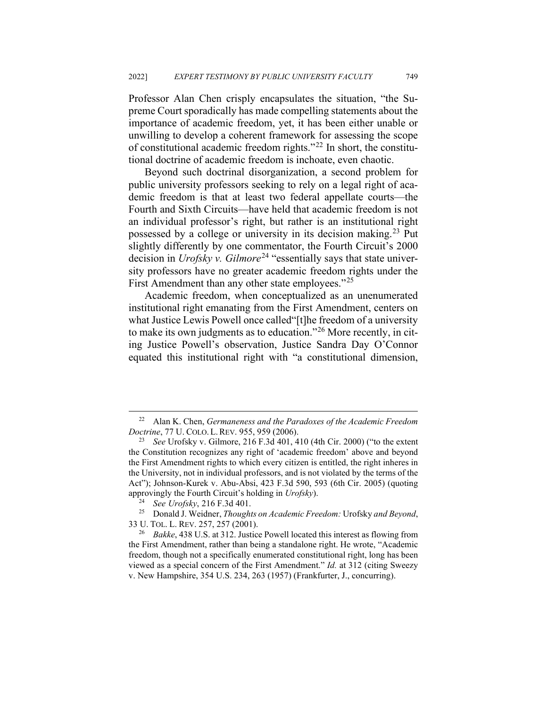Professor Alan Chen crisply encapsulates the situation, "the Supreme Court sporadically has made compelling statements about the importance of academic freedom, yet, it has been either unable or unwilling to develop a coherent framework for assessing the scope of constitutional academic freedom rights."[22](#page-8-0) In short, the constitutional doctrine of academic freedom is inchoate, even chaotic.

Beyond such doctrinal disorganization, a second problem for public university professors seeking to rely on a legal right of academic freedom is that at least two federal appellate courts—the Fourth and Sixth Circuits—have held that academic freedom is not an individual professor's right, but rather is an institutional right possessed by a college or university in its decision making.<sup>[23](#page-8-1)</sup> Put slightly differently by one commentator, the Fourth Circuit's 2000 decision in *Urofsky v. Gilmore*<sup>[24](#page-8-2)</sup> "essentially says that state university professors have no greater academic freedom rights under the First Amendment than any other state employees."<sup>[25](#page-8-3)</sup>

Academic freedom, when conceptualized as an unenumerated institutional right emanating from the First Amendment, centers on what Justice Lewis Powell once called"[t]he freedom of a university to make its own judgments as to education."[26](#page-8-4) More recently, in citing Justice Powell's observation, Justice Sandra Day O'Connor equated this institutional right with "a constitutional dimension,

<span id="page-8-0"></span><sup>22</sup> Alan K. Chen, *Germaneness and the Paradoxes of the Academic Freedom Doctrine*, 77 U. COLO.L.REV. 955, 959 (2006).

<span id="page-8-1"></span><sup>23</sup> *See* Urofsky v. Gilmore, 216 F.3d 401, 410 (4th Cir. 2000) ("to the extent the Constitution recognizes any right of 'academic freedom' above and beyond the First Amendment rights to which every citizen is entitled, the right inheres in the University, not in individual professors, and is not violated by the terms of the Act"); Johnson-Kurek v. Abu-Absi, 423 F.3d 590, 593 (6th Cir. 2005) (quoting approvingly the Fourth Circuit's holding in *Urofsky*).

<sup>24</sup> *See Urofsky*, 216 F.3d 401.

<span id="page-8-3"></span><span id="page-8-2"></span><sup>25</sup> Donald J. Weidner, *Thoughts on Academic Freedom:* Urofsky *and Beyond*, 33 U. TOL. L. REV. 257, 257 (2001).

<span id="page-8-4"></span><sup>26</sup> *Bakke*, 438 U.S. at 312. Justice Powell located this interest as flowing from the First Amendment, rather than being a standalone right. He wrote, "Academic freedom, though not a specifically enumerated constitutional right, long has been viewed as a special concern of the First Amendment." *Id.* at 312 (citing Sweezy v. New Hampshire, 354 U.S. 234, 263 (1957) (Frankfurter, J., concurring).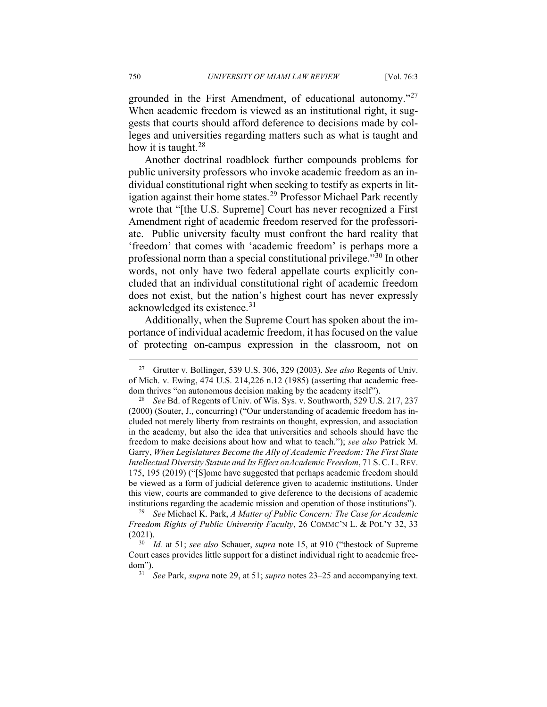grounded in the First Amendment, of educational autonomy."[27](#page-9-0) When academic freedom is viewed as an institutional right, it suggests that courts should afford deference to decisions made by colleges and universities regarding matters such as what is taught and how it is taught.  $28$ 

Another doctrinal roadblock further compounds problems for public university professors who invoke academic freedom as an individual constitutional right when seeking to testify as experts in lit-igation against their home states.<sup>[29](#page-9-2)</sup> Professor Michael Park recently wrote that "[the U.S. Supreme] Court has never recognized a First Amendment right of academic freedom reserved for the professoriate. Public university faculty must confront the hard reality that 'freedom' that comes with 'academic freedom' is perhaps more a professional norm than a special constitutional privilege."[30](#page-9-3) In other words, not only have two federal appellate courts explicitly concluded that an individual constitutional right of academic freedom does not exist, but the nation's highest court has never expressly acknowledged its existence.<sup>[31](#page-9-4)</sup>

Additionally, when the Supreme Court has spoken about the importance of individual academic freedom, it has focused on the value of protecting on-campus expression in the classroom, not on

<span id="page-9-0"></span><sup>27</sup> Grutter v. Bollinger, 539 U.S. 306, 329 (2003). *See also* Regents of Univ. of Mich. v. Ewing, 474 U.S. 214,226 n.12 (1985) (asserting that academic freedom thrives "on autonomous decision making by the academy itself").

<span id="page-9-1"></span><sup>28</sup> *See* Bd. of Regents of Univ. of Wis. Sys. v. Southworth, 529 U.S. 217, 237 (2000) (Souter, J., concurring) ("Our understanding of academic freedom has included not merely liberty from restraints on thought, expression, and association in the academy, but also the idea that universities and schools should have the freedom to make decisions about how and what to teach."); *see also* Patrick M. Garry, *When Legislatures Become the Ally of Academic Freedom: The First State Intellectual Diversity Statute and Its Effect onAcademic Freedom*, 71 S.C. L.REV. 175, 195 (2019) ("[S]ome have suggested that perhaps academic freedom should be viewed as a form of judicial deference given to academic institutions. Under this view, courts are commanded to give deference to the decisions of academic institutions regarding the academic mission and operation of those institutions").

<span id="page-9-2"></span><sup>29</sup> *See* Michael K. Park, *A Matter of Public Concern: The Case for Academic Freedom Rights of Public University Faculty*, 26 COMMC'N L. & POL'Y 32, 33 (2021).

<span id="page-9-4"></span><span id="page-9-3"></span><sup>30</sup> *Id.* at 51; *see also* Schauer, *supra* note 15, at 910 ("thestock of Supreme Court cases provides little support for a distinct individual right to academic freedom").

<sup>31</sup> *See* Park, *supra* note 29, at 51; *supra* notes 23–25 and accompanying text.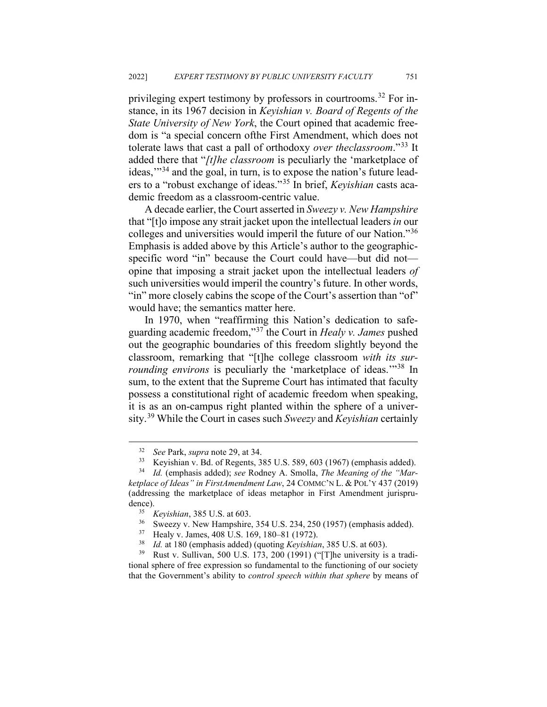privileging expert testimony by professors in courtrooms.[32](#page-10-0) For instance, in its 1967 decision in *Keyishian v. Board of Regents of the State University of New York*, the Court opined that academic freedom is "a special concern ofthe First Amendment, which does not tolerate laws that cast a pall of orthodoxy *over theclassroom*."[33](#page-10-1) It added there that "*[t]he classroom* is peculiarly the 'marketplace of ideas,"<sup>[34](#page-10-2)</sup> and the goal, in turn, is to expose the nation's future leaders to a "robust exchange of ideas."[35](#page-10-3) In brief, *Keyishian* casts academic freedom as a classroom-centric value.

A decade earlier, the Court asserted in *Sweezy v. New Hampshire*  that "[t]o impose any strait jacket upon the intellectual leaders *in* our colleges and universities would imperil the future of our Nation."[36](#page-10-4) Emphasis is added above by this Article's author to the geographicspecific word "in" because the Court could have—but did not opine that imposing a strait jacket upon the intellectual leaders *of*  such universities would imperil the country's future. In other words, "in" more closely cabins the scope of the Court's assertion than "of" would have; the semantics matter here.

In 1970, when "reaffirming this Nation's dedication to safeguarding academic freedom,"[37](#page-10-5) the Court in *Healy v. James* pushed out the geographic boundaries of this freedom slightly beyond the classroom, remarking that "[t]he college classroom *with its surrounding environs* is peculiarly the 'marketplace of ideas.'"<sup>[38](#page-10-6)</sup> In sum, to the extent that the Supreme Court has intimated that faculty possess a constitutional right of academic freedom when speaking, it is as an on-campus right planted within the sphere of a university.[39](#page-10-7) While the Court in cases such *Sweezy* and *Keyishian* certainly

<span id="page-10-7"></span><span id="page-10-6"></span><span id="page-10-5"></span><span id="page-10-4"></span>Rust v. Sullivan, 500 U.S. 173, 200 (1991) ("[T]he university is a traditional sphere of free expression so fundamental to the functioning of our society that the Government's ability to *control speech within that sphere* by means of

<sup>32</sup> *See* Park, *supra* note 29, at 34.

<sup>&</sup>lt;sup>33</sup> Keyishian v. Bd. of Regents, 385 U.S. 589, 603 (1967) (emphasis added).<br><sup>34</sup> Id (emphasis added): see Rodney A. Smolla. The Meaning of the "Mar-

<span id="page-10-3"></span><span id="page-10-2"></span><span id="page-10-1"></span><span id="page-10-0"></span><sup>34</sup> *Id.* (emphasis added); *see* Rodney A. Smolla, *The Meaning of the "Marketplace of Ideas" in FirstAmendment Law*, 24 COMMC'N L. & POL'Y 437 (2019) (addressing the marketplace of ideas metaphor in First Amendment jurisprudence).

<sup>35</sup> *Keyishian*, 385 U.S. at 603.

<sup>&</sup>lt;sup>36</sup> Sweezy v. New Hampshire, 354 U.S. 234, 250 (1957) (emphasis added).<br><sup>37</sup> Healy v. James, 408 U.S. 169, 180, 81 (1972).

<sup>&</sup>lt;sup>37</sup> Healy v. James, 408 U.S. 169, 180–81 (1972).<br><sup>38</sup> Id. at 180 (amphasis added) (quoting Kavishiqu

<sup>38</sup> *Id.* at 180 (emphasis added) (quoting *Keyishian*, 385 U.S. at 603).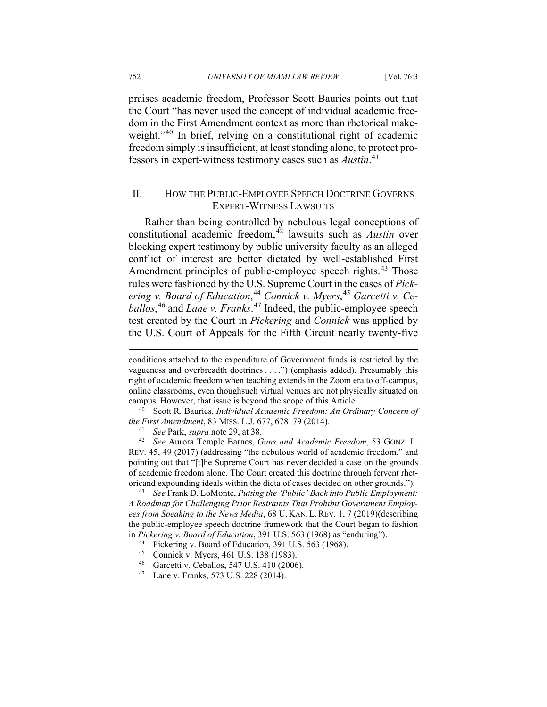752 *UNIVERSITY OF MIAMI LAW REVIEW* [Vol. 76:3

praises academic freedom, Professor Scott Bauries points out that the Court "has never used the concept of individual academic freedom in the First Amendment context as more than rhetorical make-weight."<sup>[40](#page-11-0)</sup> In brief, relying on a constitutional right of academic freedom simply is insufficient, at least standing alone, to protect professors in expert-witness testimony cases such as *Austin*. [41](#page-11-1)

#### II. HOW THE PUBLIC-EMPLOYEE SPEECH DOCTRINE GOVERNS EXPERT-WITNESS LAWSUITS

Rather than being controlled by nebulous legal conceptions of constitutional academic freedom,<sup>[42](#page-11-2)</sup> lawsuits such as *Austin* over blocking expert testimony by public university faculty as an alleged conflict of interest are better dictated by well-established First Amendment principles of public-employee speech rights.<sup>[43](#page-11-3)</sup> Those rules were fashioned by the U.S. Supreme Court in the cases of *Pickering v. Board of Education*, [44](#page-11-4) *Connick v. Myers*, [45](#page-11-5) *Garcetti v. Ceballos*, [46](#page-11-6) and *Lane v. Franks*. [47](#page-11-7) Indeed, the public-employee speech test created by the Court in *Pickering* and *Connick* was applied by the U.S. Court of Appeals for the Fifth Circuit nearly twenty-five

<span id="page-11-4"></span><span id="page-11-3"></span><sup>43</sup> *See* Frank D. LoMonte, *Putting the 'Public' Back into Public Employment: A Roadmap for Challenging Prior Restraints That Prohibit Government Employees from Speaking to the News Media*, 68 U. KAN.L.REV. 1, 7 (2019)(describing the public-employee speech doctrine framework that the Court began to fashion in *Pickering v. Board of Education*, 391 U.S. 563 (1968) as "enduring").

conditions attached to the expenditure of Government funds is restricted by the vagueness and overbreadth doctrines . . . .") (emphasis added). Presumably this right of academic freedom when teaching extends in the Zoom era to off-campus, online classrooms, even thoughsuch virtual venues are not physically situated on campus. However, that issue is beyond the scope of this Article.

<span id="page-11-0"></span><sup>40</sup> Scott R. Bauries, *Individual Academic Freedom: An Ordinary Concern of the First Amendment*, 83 MISS. L.J. 677, 678–79 (2014).

<sup>41</sup> *See* Park, *supra* note 29, at 38.

<span id="page-11-2"></span><span id="page-11-1"></span><sup>42</sup> *See* Aurora Temple Barnes, *Guns and Academic Freedom*, 53 GONZ. L. REV. 45, 49 (2017) (addressing "the nebulous world of academic freedom," and pointing out that "[t]he Supreme Court has never decided a case on the grounds of academic freedom alone. The Court created this doctrine through fervent rhetoricand expounding ideals within the dicta of cases decided on other grounds.").

<sup>44</sup> Pickering v. Board of Education, 391 U.S. 563 (1968).

<span id="page-11-5"></span><sup>45</sup> Connick v. Myers, 461 U.S. 138 (1983).

<span id="page-11-6"></span><sup>46</sup> Garcetti v. Ceballos, 547 U.S. 410 (2006).

<span id="page-11-7"></span><sup>47</sup> Lane v. Franks, 573 U.S. 228 (2014).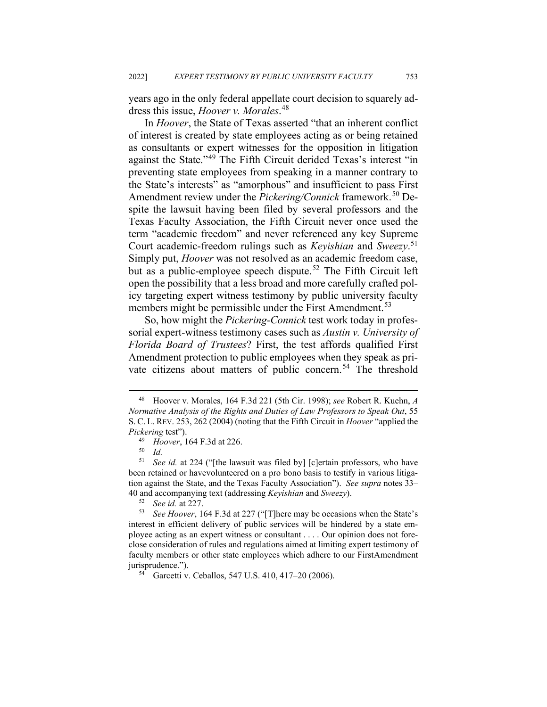years ago in the only federal appellate court decision to squarely address this issue, *Hoover v. Morales*. [48](#page-12-0)

In *Hoover*, the State of Texas asserted "that an inherent conflict of interest is created by state employees acting as or being retained as consultants or expert witnesses for the opposition in litigation against the State."[49](#page-12-1) The Fifth Circuit derided Texas's interest "in preventing state employees from speaking in a manner contrary to the State's interests" as "amorphous" and insufficient to pass First Amendment review under the *Pickering/Connick* framework.<sup>[50](#page-12-2)</sup> Despite the lawsuit having been filed by several professors and the Texas Faculty Association, the Fifth Circuit never once used the term "academic freedom" and never referenced any key Supreme Court academic-freedom rulings such as *Keyishian* and *Sweezy*. [51](#page-12-3) Simply put, *Hoover* was not resolved as an academic freedom case, but as a public-employee speech dispute.<sup>[52](#page-12-4)</sup> The Fifth Circuit left open the possibility that a less broad and more carefully crafted policy targeting expert witness testimony by public university faculty members might be permissible under the First Amendment.<sup>[53](#page-12-5)</sup>

So, how might the *Pickering-Connick* test work today in professorial expert-witness testimony cases such as *Austin v. University of Florida Board of Trustees*? First, the test affords qualified First Amendment protection to public employees when they speak as pri-vate citizens about matters of public concern.<sup>[54](#page-12-6)</sup> The threshold

<span id="page-12-0"></span><sup>48</sup> Hoover v. Morales, 164 F.3d 221 (5th Cir. 1998); *see* Robert R. Kuehn, *A Normative Analysis of the Rights and Duties of Law Professors to Speak Out*, 55 S. C. L. REV. 253, 262 (2004) (noting that the Fifth Circuit in *Hoover* "applied the *Pickering* test").

<sup>&</sup>lt;sup>49</sup> *Hoover*, 164 F.3d at 226.

<sup>50</sup> *Id.*

<span id="page-12-3"></span><span id="page-12-2"></span><span id="page-12-1"></span><sup>51</sup> *See id.* at 224 ("[the lawsuit was filed by] [c]ertain professors, who have been retained or havevolunteered on a pro bono basis to testify in various litigation against the State, and the Texas Faculty Association"). *See supra* notes 33– 40 and accompanying text (addressing *Keyishian* and *Sweezy*).

<sup>52</sup> *See id.* at 227.

<span id="page-12-5"></span><span id="page-12-4"></span><sup>53</sup> *See Hoover*, 164 F.3d at 227 ("[T]here may be occasions when the State's interest in efficient delivery of public services will be hindered by a state employee acting as an expert witness or consultant . . . . Our opinion does not foreclose consideration of rules and regulations aimed at limiting expert testimony of faculty members or other state employees which adhere to our FirstAmendment jurisprudence.").

<span id="page-12-6"></span><sup>54</sup> Garcetti v. Ceballos, 547 U.S. 410, 417–20 (2006).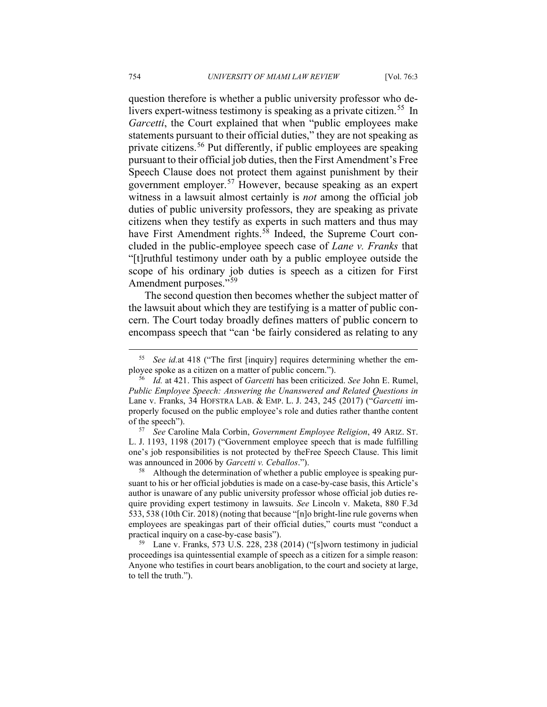question therefore is whether a public university professor who de-livers expert-witness testimony is speaking as a private citizen.<sup>[55](#page-13-0)</sup> In *Garcetti*, the Court explained that when "public employees make statements pursuant to their official duties," they are not speaking as private citizens.[56](#page-13-1) Put differently, if public employees are speaking pursuant to their official job duties, then the First Amendment's Free Speech Clause does not protect them against punishment by their government employer.[57](#page-13-2) However, because speaking as an expert witness in a lawsuit almost certainly is *not* among the official job duties of public university professors, they are speaking as private citizens when they testify as experts in such matters and thus may have First Amendment rights.<sup>[58](#page-13-3)</sup> Indeed, the Supreme Court concluded in the public-employee speech case of *Lane v. Franks* that "[t]ruthful testimony under oath by a public employee outside the scope of his ordinary job duties is speech as a citizen for First Amendment purposes."<sup>[59](#page-13-4)</sup>

The second question then becomes whether the subject matter of the lawsuit about which they are testifying is a matter of public concern. The Court today broadly defines matters of public concern to encompass speech that "can 'be fairly considered as relating to any

<span id="page-13-2"></span><sup>57</sup> *See* Caroline Mala Corbin, *Government Employee Religion*, 49 ARIZ. ST. L. J. 1193, 1198 (2017) ("Government employee speech that is made fulfilling one's job responsibilities is not protected by theFree Speech Clause. This limit was announced in 2006 by *Garcetti v. Ceballos*.").

<span id="page-13-3"></span><sup>58</sup> Although the determination of whether a public employee is speaking pursuant to his or her official jobduties is made on a case-by-case basis, this Article's author is unaware of any public university professor whose official job duties require providing expert testimony in lawsuits. *See* Lincoln v. Maketa, 880 F.3d 533, 538 (10th Cir. 2018) (noting that because "[n]o bright-line rule governs when employees are speakingas part of their official duties," courts must "conduct a practical inquiry on a case-by-case basis").

<span id="page-13-4"></span><sup>59</sup> Lane v. Franks, 573 U.S. 228, 238 (2014) ("[s]worn testimony in judicial proceedings isa quintessential example of speech as a citizen for a simple reason: Anyone who testifies in court bears anobligation, to the court and society at large, to tell the truth.").

<span id="page-13-0"></span>See id.at 418 ("The first [inquiry] requires determining whether the employee spoke as a citizen on a matter of public concern.").

<span id="page-13-1"></span><sup>56</sup> *Id.* at 421. This aspect of *Garcetti* has been criticized. *See* John E. Rumel, *Public Employee Speech: Answering the Unanswered and Related Questions in*  Lane v. Franks, 34 HOFSTRA LAB. & EMP. L. J. 243, 245 (2017) ("*Garcetti* improperly focused on the public employee's role and duties rather thanthe content of the speech").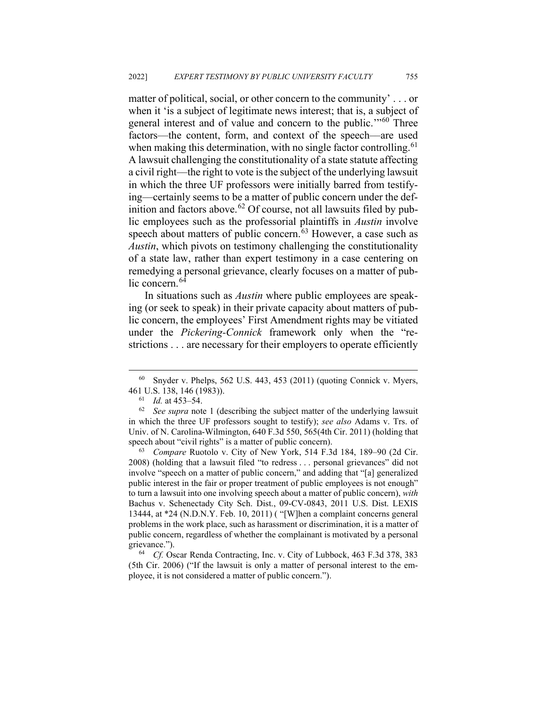matter of political, social, or other concern to the community' . . . or when it 'is a subject of legitimate news interest; that is, a subject of general interest and of value and concern to the public."<sup>[60](#page-14-0)</sup> Three factors––the content, form, and context of the speech––are used when making this determination, with no single factor controlling.<sup>[61](#page-14-1)</sup> A lawsuit challenging the constitutionality of a state statute affecting a civil right––the right to vote is the subject of the underlying lawsuit in which the three UF professors were initially barred from testifying––certainly seems to be a matter of public concern under the def-inition and factors above.<sup>[62](#page-14-2)</sup> Of course, not all lawsuits filed by public employees such as the professorial plaintiffs in *Austin* involve speech about matters of public concern.<sup>[63](#page-14-3)</sup> However, a case such as *Austin*, which pivots on testimony challenging the constitutionality of a state law, rather than expert testimony in a case centering on remedying a personal grievance, clearly focuses on a matter of pub-lic concern.<sup>[64](#page-14-4)</sup>

In situations such as *Austin* where public employees are speaking (or seek to speak) in their private capacity about matters of public concern, the employees' First Amendment rights may be vitiated under the *Pickering-Connick* framework only when the "restrictions . . . are necessary for their employers to operate efficiently

<span id="page-14-3"></span><sup>63</sup> *Compare* Ruotolo v. City of New York, 514 F.3d 184, 189–90 (2d Cir. 2008) (holding that a lawsuit filed "to redress . . . personal grievances" did not involve "speech on a matter of public concern," and adding that "[a] generalized public interest in the fair or proper treatment of public employees is not enough" to turn a lawsuit into one involving speech about a matter of public concern), *with*  Bachus v. Schenectady City Sch. Dist., 09-CV-0843, 2011 U.S. Dist. LEXIS 13444, at \*24 (N.D.N.Y. Feb. 10, 2011) ( "[W]hen a complaint concerns general problems in the work place, such as harassment or discrimination, it is a matter of public concern, regardless of whether the complainant is motivated by a personal grievance.").

<span id="page-14-4"></span><sup>64</sup> *Cf.* Oscar Renda Contracting, Inc. v. City of Lubbock, 463 F.3d 378, 383 (5th Cir. 2006) ("If the lawsuit is only a matter of personal interest to the employee, it is not considered a matter of public concern.").

<span id="page-14-0"></span> $60$  Snyder v. Phelps, 562 U.S. 443, 453 (2011) (quoting Connick v. Myers, <sup>461</sup> U.S. 138, 146 (1983)). 61 *Id.* at 453–54.

<span id="page-14-2"></span><span id="page-14-1"></span><sup>62</sup> *See supra* note 1 (describing the subject matter of the underlying lawsuit in which the three UF professors sought to testify); *see also* Adams v. Trs. of Univ. of N. Carolina-Wilmington, 640 F.3d 550, 565(4th Cir. 2011) (holding that speech about "civil rights" is a matter of public concern).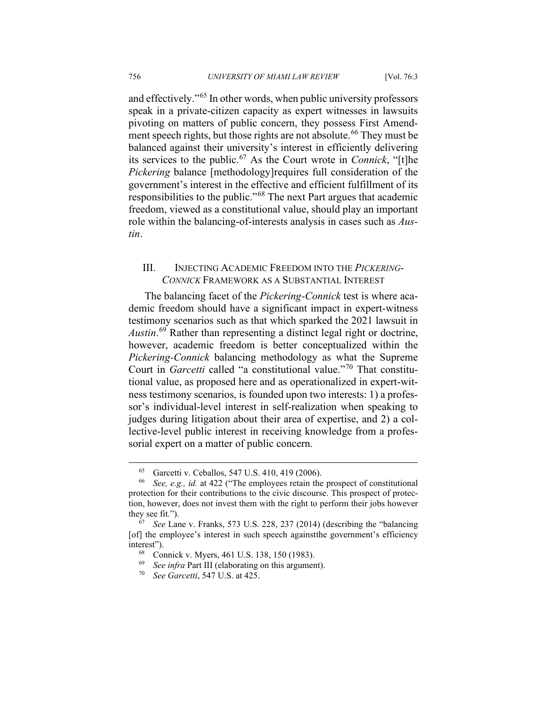and effectively."<sup>[65](#page-15-0)</sup> In other words, when public university professors speak in a private-citizen capacity as expert witnesses in lawsuits pivoting on matters of public concern, they possess First Amend-ment speech rights, but those rights are not absolute.<sup>[66](#page-15-1)</sup> They must be balanced against their university's interest in efficiently delivering its services to the public.[67](#page-15-2) As the Court wrote in *Connick*, "[t]he *Pickering* balance [methodology]requires full consideration of the government's interest in the effective and efficient fulfillment of its responsibilities to the public."[68](#page-15-3) The next Part argues that academic freedom, viewed as a constitutional value, should play an important role within the balancing-of-interests analysis in cases such as *Austin*.

### III. INJECTING ACADEMIC FREEDOM INTO THE *PICKERING-CONNICK* FRAMEWORK AS A SUBSTANTIAL INTEREST

The balancing facet of the *Pickering-Connick* test is where academic freedom should have a significant impact in expert-witness testimony scenarios such as that which sparked the 2021 lawsuit in *Austin*. [69](#page-15-4) Rather than representing a distinct legal right or doctrine, however, academic freedom is better conceptualized within the *Pickering-Connick* balancing methodology as what the Supreme Court in *Garcetti* called "a constitutional value."[70](#page-15-5) That constitutional value, as proposed here and as operationalized in expert-witness testimony scenarios, is founded upon two interests: 1) a professor's individual-level interest in self-realization when speaking to judges during litigation about their area of expertise, and 2) a collective-level public interest in receiving knowledge from a professorial expert on a matter of public concern.

<sup>&</sup>lt;sup>65</sup> Garcetti v. Ceballos, 547 U.S. 410, 419 (2006).<br><sup>66</sup> See e.g. id. at 422 ("The employees retain the

<span id="page-15-1"></span><span id="page-15-0"></span><sup>66</sup> *See, e.g., id.* at 422 ("The employees retain the prospect of constitutional protection for their contributions to the civic discourse. This prospect of protection, however, does not invest them with the right to perform their jobs however they see fit.").

<span id="page-15-5"></span><span id="page-15-4"></span><span id="page-15-3"></span><span id="page-15-2"></span><sup>67</sup> *See* Lane v. Franks, 573 U.S. 228, 237 (2014) (describing the "balancing [of] the employee's interest in such speech againstthe government's efficiency interest").

<sup>68</sup> Connick v. Myers, 461 U.S. 138, 150 (1983).

<sup>69</sup> *See infra* Part III (elaborating on this argument).

<sup>70</sup> *See Garcetti*, 547 U.S. at 425.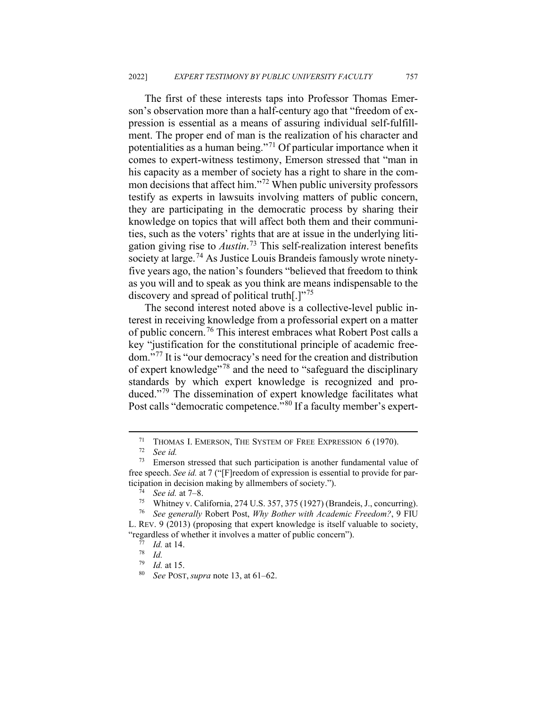The first of these interests taps into Professor Thomas Emerson's observation more than a half-century ago that "freedom of expression is essential as a means of assuring individual self-fulfillment. The proper end of man is the realization of his character and potentialities as a human being."<sup>[71](#page-16-0)</sup> Of particular importance when it comes to expert-witness testimony, Emerson stressed that "man in his capacity as a member of society has a right to share in the com-mon decisions that affect him."<sup>[72](#page-16-1)</sup> When public university professors testify as experts in lawsuits involving matters of public concern, they are participating in the democratic process by sharing their knowledge on topics that will affect both them and their communities, such as the voters' rights that are at issue in the underlying litigation giving rise to *Austin*. [73](#page-16-2) This self-realization interest benefits society at large.<sup>[74](#page-16-3)</sup> As Justice Louis Brandeis famously wrote ninetyfive years ago, the nation's founders "believed that freedom to think as you will and to speak as you think are means indispensable to the discovery and spread of political truth[.]"<sup>[75](#page-16-4)</sup>

The second interest noted above is a collective-level public interest in receiving knowledge from a professorial expert on a matter of public concern.<sup>[76](#page-16-5)</sup> This interest embraces what Robert Post calls a key "justification for the constitutional principle of academic freedom."[77](#page-16-6) It is "our democracy's need for the creation and distribution of expert knowledge"[78](#page-16-7) and the need to "safeguard the disciplinary standards by which expert knowledge is recognized and pro-duced."<sup>[79](#page-16-8)</sup> The dissemination of expert knowledge facilitates what Post calls "democratic competence."<sup>[80](#page-16-9)</sup> If a faculty member's expert-

<sup>&</sup>lt;sup>71</sup> THOMAS I. EMERSON, THE SYSTEM OF FREE EXPRESSION 6 (1970).<br><sup>72</sup> See id

<sup>72</sup> *See id.*

<span id="page-16-2"></span><span id="page-16-1"></span><span id="page-16-0"></span> $73$  Emerson stressed that such participation is another fundamental value of free speech. *See id.* at 7 ("[F]reedom of expression is essential to provide for participation in decision making by allmembers of society.").

*See id.* at 7–8.

<sup>75</sup> Whitney v. California, 274 U.S. 357, 375 (1927) (Brandeis, J., concurring).

<span id="page-16-8"></span><span id="page-16-7"></span><span id="page-16-6"></span><span id="page-16-5"></span><span id="page-16-4"></span><span id="page-16-3"></span><sup>76</sup> *See generally* Robert Post, *Why Bother with Academic Freedom?*, 9 FIU L. REV. 9 (2013) (proposing that expert knowledge is itself valuable to society, "regardless of whether it involves a matter of public concern").

<sup>77</sup> *Id.* at 14.

 $\frac{78}{79}$  *Id.* 

<span id="page-16-9"></span> $\frac{79}{80}$  *Id.* at 15.

<sup>80</sup> *See* POST, *supra* note 13, at 61–62.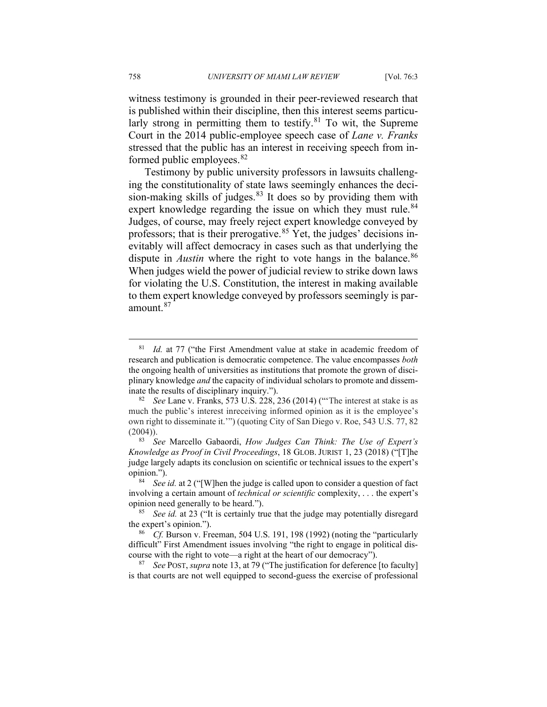witness testimony is grounded in their peer-reviewed research that is published within their discipline, then this interest seems particularly strong in permitting them to testify. $81$  To wit, the Supreme Court in the 2014 public-employee speech case of *Lane v. Franks*  stressed that the public has an interest in receiving speech from in-formed public employees.<sup>[82](#page-17-1)</sup>

Testimony by public university professors in lawsuits challenging the constitutionality of state laws seemingly enhances the decision-making skills of judges. $83$  It does so by providing them with expert knowledge regarding the issue on which they must rule. $84$ Judges, of course, may freely reject expert knowledge conveyed by professors; that is their prerogative.<sup>[85](#page-17-4)</sup> Yet, the judges' decisions inevitably will affect democracy in cases such as that underlying the dispute in *Austin* where the right to vote hangs in the balance.<sup>[86](#page-17-5)</sup> When judges wield the power of judicial review to strike down laws for violating the U.S. Constitution, the interest in making available to them expert knowledge conveyed by professors seemingly is paramount.[87](#page-17-6)

<span id="page-17-6"></span><sup>87</sup> *See* POST, *supra* note 13, at 79 ("The justification for deference [to faculty] is that courts are not well equipped to second-guess the exercise of professional

<span id="page-17-0"></span><sup>&</sup>lt;sup>81</sup> *Id.* at 77 ("the First Amendment value at stake in academic freedom of research and publication is democratic competence. The value encompasses *both*  the ongoing health of universities as institutions that promote the grown of disciplinary knowledge *and* the capacity of individual scholars to promote and disseminate the results of disciplinary inquiry.").

<span id="page-17-1"></span><sup>82</sup> *See* Lane v. Franks, 573 U.S. 228, 236 (2014) ("'The interest at stake is as much the public's interest inreceiving informed opinion as it is the employee's own right to disseminate it.'") (quoting City of San Diego v. Roe, 543 U.S. 77, 82  $(2004)$ ).

<span id="page-17-2"></span><sup>83</sup> *See* Marcello Gabaordi, *How Judges Can Think: The Use of Expert's Knowledge as Proof in Civil Proceedings*, 18 GLOB. JURIST 1, 23 (2018) ("[T]he judge largely adapts its conclusion on scientific or technical issues to the expert's opinion.").

<span id="page-17-3"></span><sup>84</sup> *See id.* at 2 ("[W]hen the judge is called upon to consider a question of fact involving a certain amount of *technical or scientific* complexity, . . . the expert's opinion need generally to be heard.").

<span id="page-17-4"></span><sup>85</sup> *See id.* at 23 ("It is certainly true that the judge may potentially disregard the expert's opinion.").

<span id="page-17-5"></span>*Cf.* Burson v. Freeman, 504 U.S. 191, 198 (1992) (noting the "particularly difficult" First Amendment issues involving "the right to engage in political discourse with the right to vote—a right at the heart of our democracy").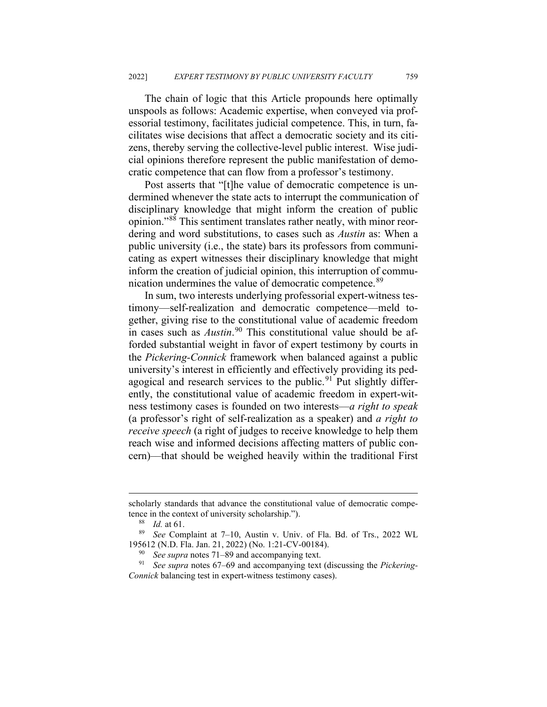The chain of logic that this Article propounds here optimally unspools as follows: Academic expertise, when conveyed via professorial testimony, facilitates judicial competence. This, in turn, facilitates wise decisions that affect a democratic society and its citizens, thereby serving the collective-level public interest. Wise judicial opinions therefore represent the public manifestation of democratic competence that can flow from a professor's testimony.

Post asserts that "[t]he value of democratic competence is undermined whenever the state acts to interrupt the communication of disciplinary knowledge that might inform the creation of public opinion."[88](#page-18-0) This sentiment translates rather neatly, with minor reordering and word substitutions, to cases such as *Austin* as: When a public university (i.e., the state) bars its professors from communicating as expert witnesses their disciplinary knowledge that might inform the creation of judicial opinion, this interruption of commu-nication undermines the value of democratic competence.<sup>[89](#page-18-1)</sup>

In sum, two interests underlying professorial expert-witness testimony––self-realization and democratic competence––meld together, giving rise to the constitutional value of academic freedom in cases such as *Austin*. [90](#page-18-2) This constitutional value should be afforded substantial weight in favor of expert testimony by courts in the *Pickering-Connick* framework when balanced against a public university's interest in efficiently and effectively providing its ped-agogical and research services to the public.<sup>[91](#page-18-3)</sup> Put slightly differently, the constitutional value of academic freedom in expert-witness testimony cases is founded on two interests––*a right to speak*  (a professor's right of self-realization as a speaker) and *a right to receive speech* (a right of judges to receive knowledge to help them reach wise and informed decisions affecting matters of public concern)––that should be weighed heavily within the traditional First

scholarly standards that advance the constitutional value of democratic competence in the context of university scholarship.").

*Id.* at 61.

<span id="page-18-1"></span><span id="page-18-0"></span><sup>89</sup> *See* Complaint at 7–10, Austin v. Univ. of Fla. Bd. of Trs., 2022 WL 195612 (N.D. Fla. Jan. 21, 2022) (No. 1:21-CV-00184).

See supra notes 71–89 and accompanying text.

<span id="page-18-3"></span><span id="page-18-2"></span><sup>91</sup> *See supra* notes 67–69 and accompanying text (discussing the *Pickering-Connick* balancing test in expert-witness testimony cases).